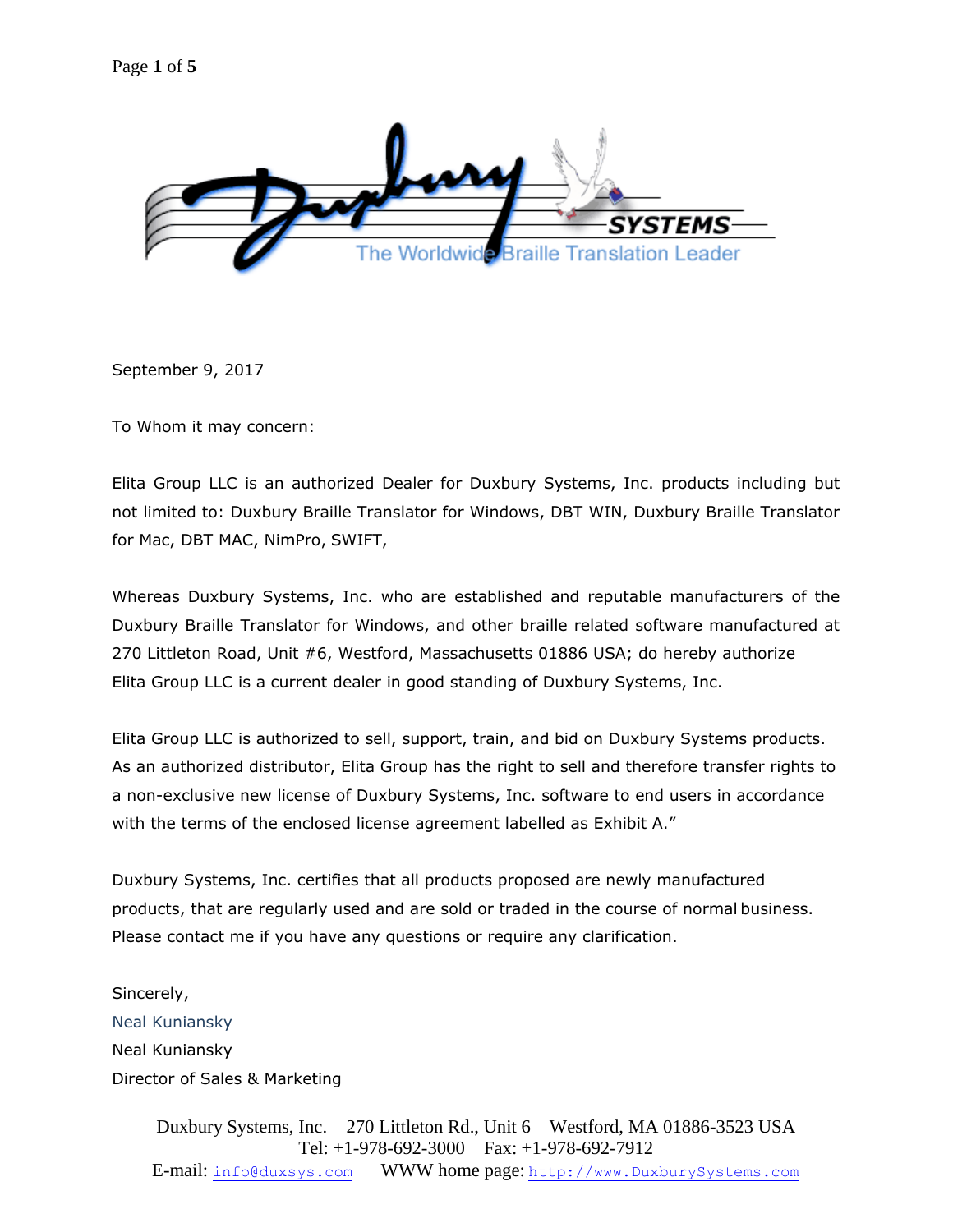

September 9, 2017

To Whom it may concern:

Elita Group LLC is an authorized Dealer for Duxbury Systems, Inc. products including but not limited to: Duxbury Braille Translator for Windows, DBT WIN, Duxbury Braille Translator for Mac, DBT MAC, NimPro, SWIFT,

Whereas Duxbury Systems, Inc. who are established and reputable manufacturers of the Duxbury Braille Translator for Windows, and other braille related software manufactured at 270 Littleton Road, Unit #6, Westford, Massachusetts 01886 USA; do hereby authorize Elita Group LLC is a current dealer in good standing of Duxbury Systems, Inc.

Elita Group LLC is authorized to sell, support, train, and bid on Duxbury Systems products. As an authorized distributor, Elita Group has the right to sell and therefore transfer rights to а non-exclusive new license of Duxbury Systems, Inc. software to end users in accordance with the terms of the enclosed license agreement labelled as Exhibit A."

Duxbury Systems, Inc. certifies that all products proposed are newly manufactured products, that are regularly used and are sold or traded in the course of normal business. Please contact me if you have any questions or require any clarification.

Sincerely, Neal Kuniansky Neal Kuniansky Director of Sales & Marketing

> Duxbury Systems, Inc. 270 Littleton Rd., Unit 6 Westford, MA 01886-3523 USA Tel: +1-978-692-3000 Fax: +1-978-692-7912 E-mail: [info@duxsys.com](mailto:info@duxsys.com) WWW home page: [http://www.DuxburySystems.com](http://www.duxburysystems.com/)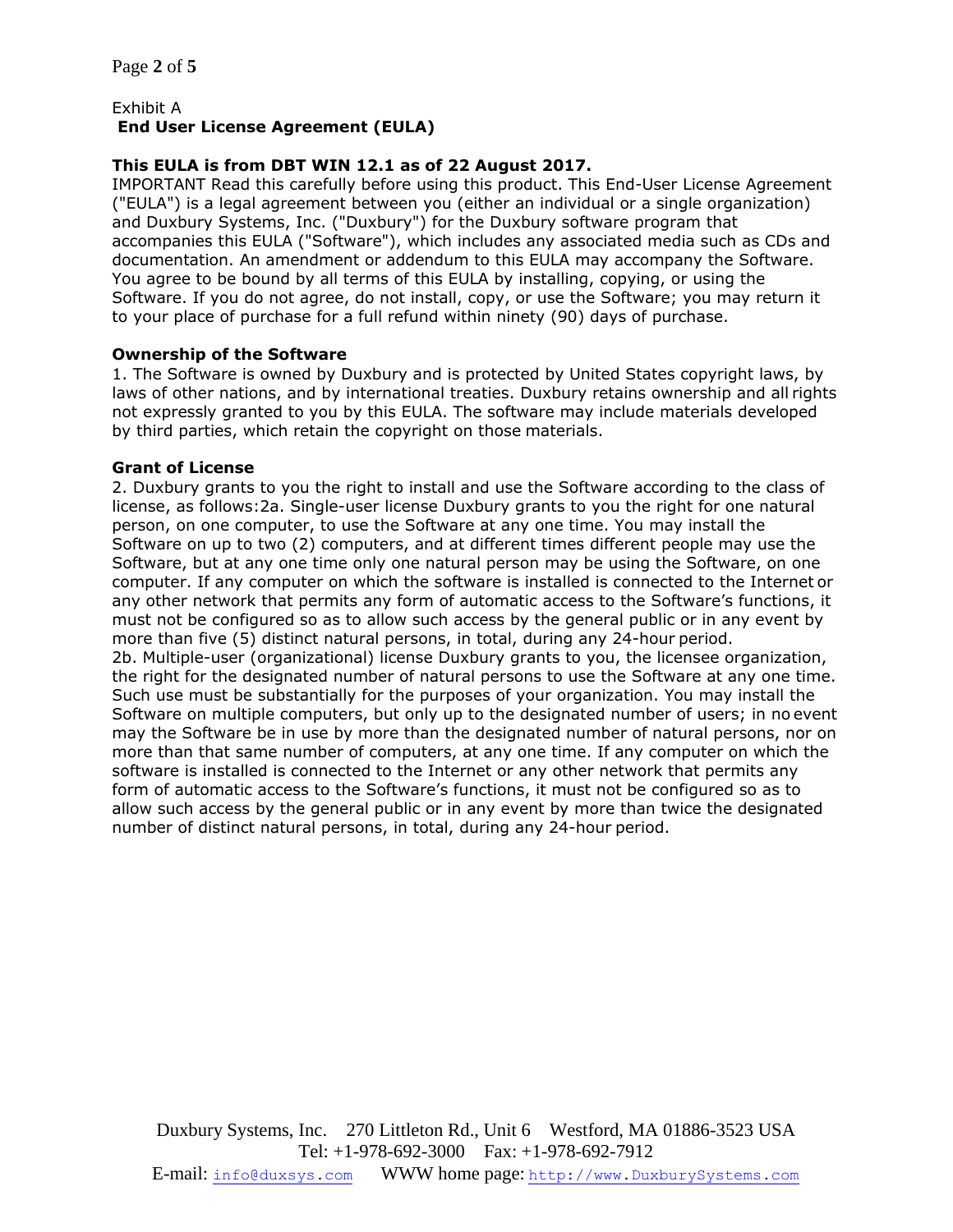### Exhibit А **End User License Agreement (EULA)**

# **This EULA is from DBT WIN 12.1 as of 22 August 2017.**

IMPORTANT Read this carefully before using this product. This End-User License Agreement ("EULA") is a legal agreement between you (either an individual or a single organization) and Duxbury Systems, Inc. ("Duxbury") for the Duxbury software program that accompanies this EULA ("Software"), which includes any associated media such as CDs and documentation. An amendment or addendum to this EULA may accompany the Software. You agree to be bound by all terms of this EULA by installing, copying, or using the Software. If you do not agree, do not install, copy, or use the Software; you may return it to your place of purchase for a full refund within ninety (90) days of purchase.

### **Ownership of the Software**

1. The Software is owned by Duxbury and is protected by United States copyright laws, by laws of other nations, and by international treaties. Duxbury retains ownership and all rights not expressly granted to you by this EULA. The software may include materials developed by third parties, which retain the copyright on those materials.

#### **Grant of License**

2. Duxbury grants to you the right to install and use the Software according to the class of license, as follows:2a. Single-user license Duxbury grants to you the right for one natural person, on one computer, to use the Software at any one time. You may install the Software on up to two (2) computers, and at different times different people may use the Software, but at any one time only one natural person may be using the Software, on one computer. If any computer on which the software is installed is connected to the Internet or any other network that permits any form of automatic access to the Software's functions, it must not be configured so as to allow such access by the general public or in any event by more than five (5) distinct natural persons, in total, during any 24-hour period. 2b. Multiple-user (organizational) license Duxbury grants to you, the licensee organization, the right for the designated number of natural persons to use the Software at any one time. Such use must be substantially for the purposes of your organization. You may install the Software on multiple computers, but only up to the designated number of users; in no event may the Software be in use by more than the designated number of natural persons, nor on more than that same number of computers, at any one time. If any computer on which the software is installed is connected to the Internet or any other network that permits any form of automatic access to the Software's functions, it must not be configured so as to allow such access by the general public or in any event by more than twice the designated number of distinct natural persons, in total, during any 24-hour period.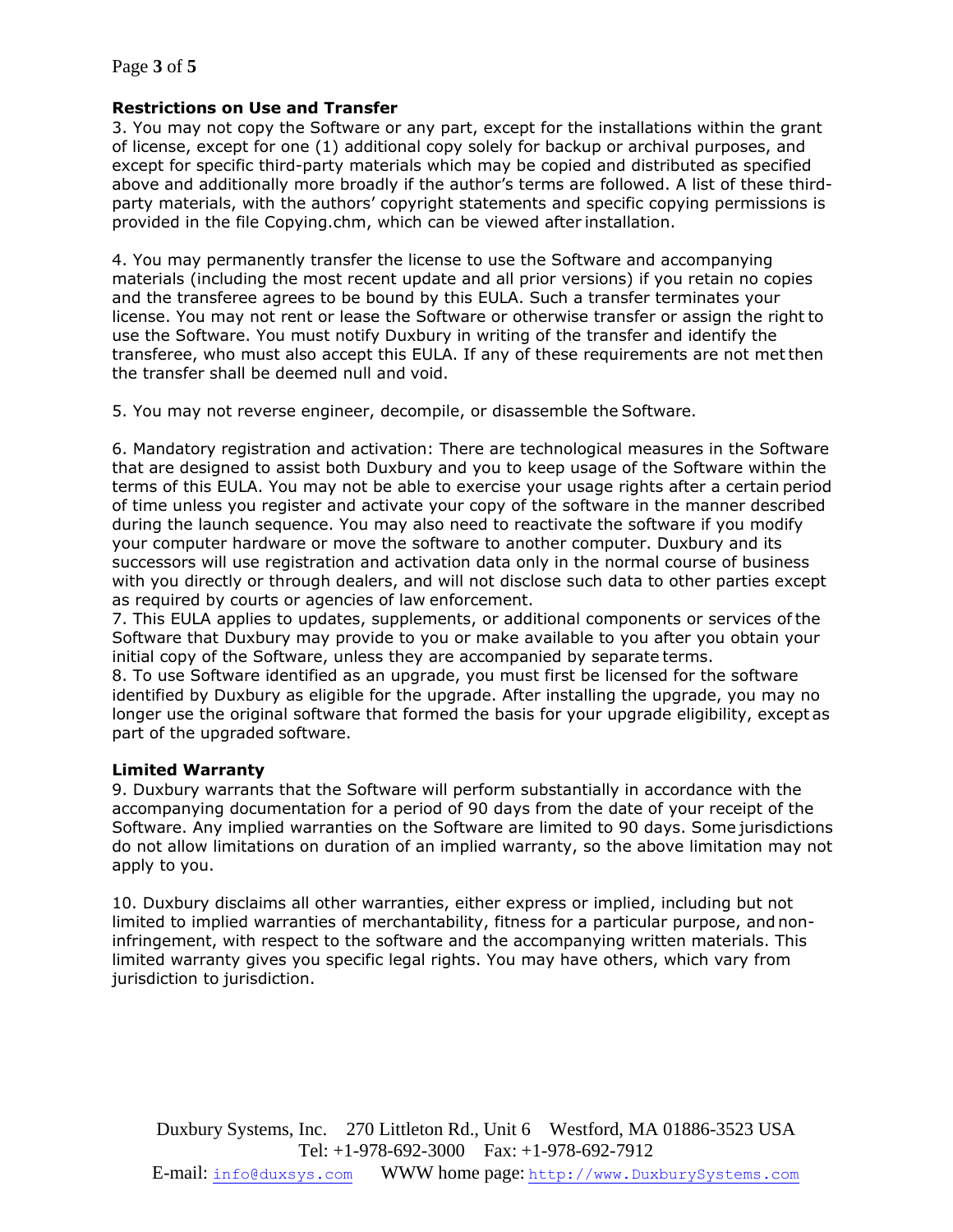## **Restrictions on Use and Transfer**

3. You may not copy the Software or any part, except for the installations within the grant of license, except for one (1) additional copy solely for backup or archival purposes, and except for specific third-party materials which may be copied and distributed as specified above and additionally more broadly if the author's terms are followed. A list of these thirdparty materials, with the authors' copyright statements and specific copying permissions is provided in the file Copying.chm, which can be viewed after installation.

4. You may permanently transfer the license to use the Software and accompanying materials (including the most recent update and all prior versions) if you retain no copies and the transferee agrees to be bound by this EULA. Such a transfer terminates your license. You may not rent or lease the Software or otherwise transfer or assign the right to use the Software. You must notify Duxbury in writing of the transfer and identify the transferee, who must also accept this EULA. If any of these requirements are not metthen the transfer shall be deemed null and void.

5. You may not reverse engineer, decompile, or disassemble the Software.

6. Mandatory registration and activation: There are technological measures in the Software that are designed to assist both Duxbury and you to keep usage of the Software within the terms of this EULA. You may not be able to exercise your usage rights after a certain period of time unless you register and activate your copy of the software in the manner described during the launch sequence. You may also need to reactivate the software if you modify your computer hardware or move the software to another computer. Duxbury and its successors will use registration and activation data only in the normal course of business with you directly or through dealers, and will not disclose such data to other parties except as required by courts or agencies of law enforcement.

7. This EULA applies to updates, supplements, or additional components or services of the Software that Duxbury may provide to you or make available to you after you obtain your initial copy of the Software, unless they are accompanied by separate terms.

8. To use Software identified as an upgrade, you must first be licensed for the software identified by Duxbury as eligible for the upgrade. After installing the upgrade, you may no longer use the original software that formed the basis for your upgrade eligibility, except as part of the upgraded software.

# **Limited Warranty**

9. Duxbury warrants that the Software will perform substantially in accordance with the accompanying documentation for a period of 90 days from the date of your receipt of the Software. Any implied warranties on the Software are limited to 90 days. Some jurisdictions do not allow limitations on duration of an implied warranty, so the above limitation may not apply to you.

10. Duxbury disclaims all other warranties, either express or implied, including but not limited to implied warranties of merchantability, fitness for a particular purpose, and noninfringement, with respect to the software and the accompanying written materials. This limited warranty gives you specific legal rights. You may have others, which vary from jurisdiction to jurisdiction.

Duxbury Systems, Inc. 270 Littleton Rd., Unit 6 Westford, MA 01886-3523 USA Tel: +1-978-692-3000 Fax: +1-978-692-7912 E-mail: [info@duxsys.com](mailto:info@duxsys.com) WWW home page: [http://www.DuxburySystems.com](http://www.duxburysystems.com/)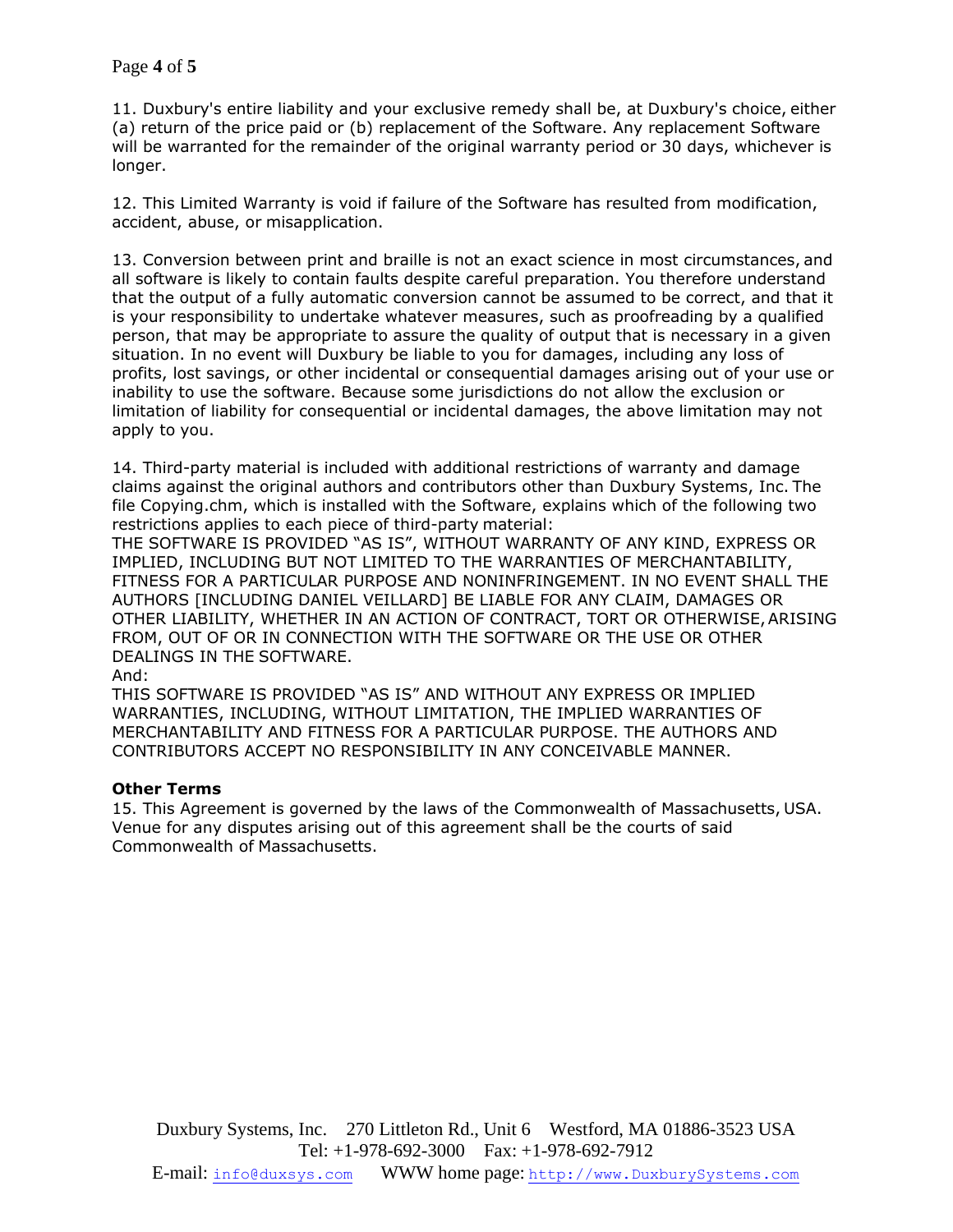11. Duxbury's entire liability and your exclusive remedy shall be, at Duxbury's choice, either (a) return of the price paid or (b) replacement of the Software. Any replacement Software will be warranted for the remainder of the original warranty period or 30 days, whichever is longer.

12. This Limited Warranty is void if failure of the Software has resulted from modification, accident, abuse, or misapplication.

13. Conversion between print and braille is not an exact science in most circumstances, and all software is likely to contain faults despite careful preparation. You therefore understand that the output of a fully automatic conversion cannot be assumed to be correct, and that it is your responsibility to undertake whatever measures, such as proofreading by a qualified person, that may be appropriate to assure the quality of output that is necessary in a given situation. In no event will Duxbury be liable to you for damages, including any loss of profits, lost savings, or other incidental or consequential damages arising out of your use or inability to use the software. Because some jurisdictions do not allow the exclusion or limitation of liability for consequential or incidental damages, the above limitation may not apply to you.

14. Third-party material is included with additional restrictions of warranty and damage claims against the original authors and contributors other than Duxbury Systems, Inc. The file Copying.chm, which is installed with the Software, explains which of the following two restrictions applies to each piece of third-party material:

THE SOFTWARE IS PROVIDED "AS IS", WITHOUT WARRANTY OF ANY KIND, EXPRESS OR IMPLIED, INCLUDING BUT NOT LIMITED TO THE WARRANTIES OF MERCHANTABILITY, FITNESS FOR A PARTICULAR PURPOSE AND NONINFRINGEMENT. IN NO EVENT SHALL THE AUTHORS [INCLUDING DANIEL VEILLARD] BE LIABLE FOR ANY CLAIM, DAMAGES OR OTHER LIABILITY, WHETHER IN AN ACTION OF CONTRACT, TORT OR OTHERWISE,ARISING FROM, OUT OF OR IN CONNECTION WITH THE SOFTWARE OR THE USE OR OTHER DEALINGS IN THE SOFTWARE.

And:

THIS SOFTWARE IS PROVIDED "AS IS" AND WITHOUT ANY EXPRESS OR IMPLIED WARRANTIES, INCLUDING, WITHOUT LIMITATION, THE IMPLIED WARRANTIES OF MERCHANTABILITY AND FITNESS FOR A PARTICULAR PURPOSE. THE AUTHORS AND CONTRIBUTORS ACCEPT NO RESPONSIBILITY IN ANY CONCEIVABLE MANNER.

### **Other Terms**

15. This Agreement is governed by the laws of the Commonwealth of Massachusetts, USA. Venue for any disputes arising out of this agreement shall be the courts of said Commonwealth of Massachusetts.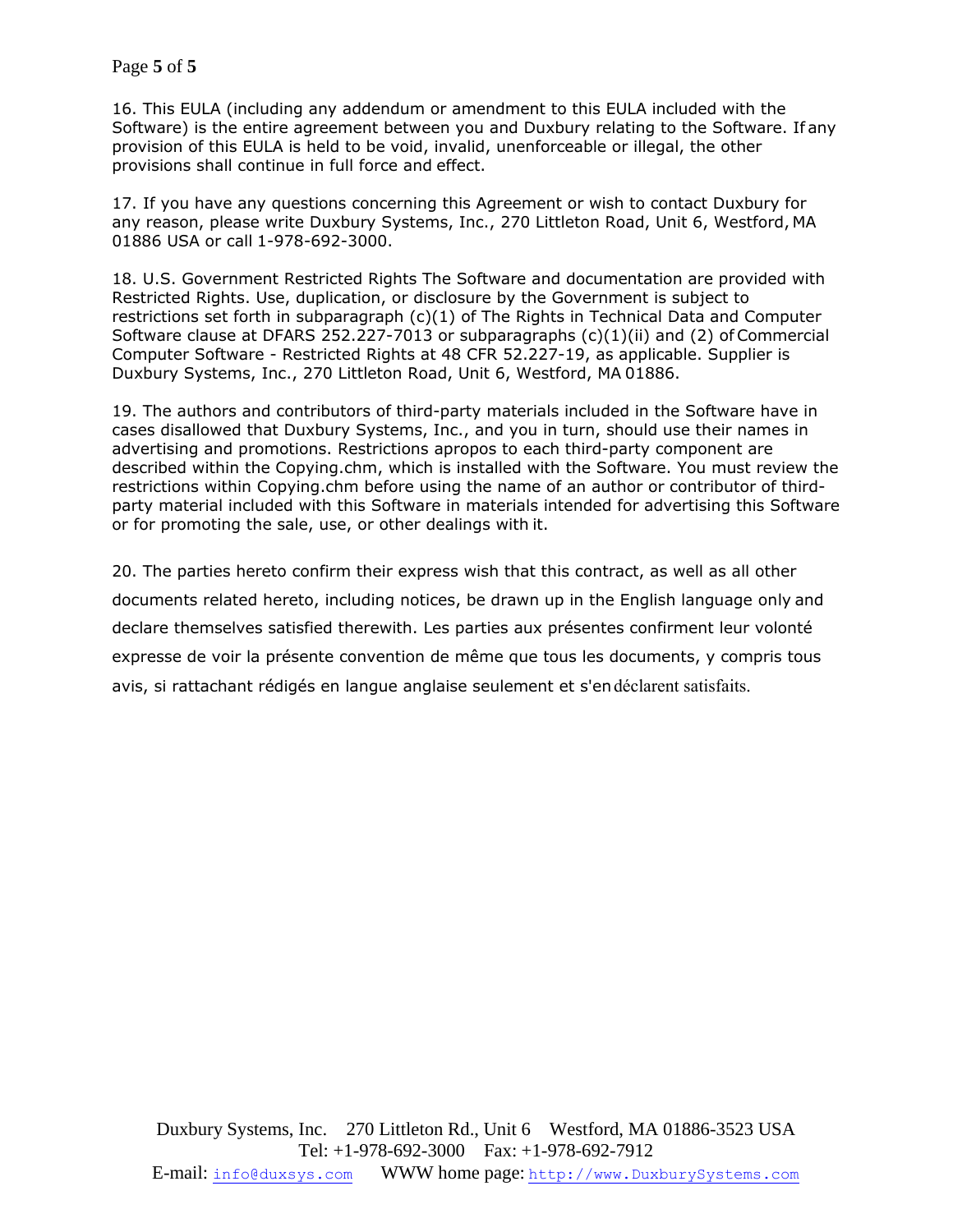16. This EULA (including any addendum or amendment to this EULA included with the Software) is the entire agreement between you and Duxbury relating to the Software. If any provision of this EULA is held to be void, invalid, unenforceable or illegal, the other provisions shall continue in full force and effect.

17. If you have any questions concerning this Agreement or wish to contact Duxbury for any reason, please write Duxbury Systems, Inc., 270 Littleton Road, Unit 6, Westford, MA 01886 USA or call 1-978-692-3000.

18. U.S. Government Restricted Rights The Software and documentation are provided with Restricted Rights. Use, duplication, or disclosure by the Government is subject to restrictions set forth in subparagraph  $(c)(1)$  of The Rights in Technical Data and Computer Software clause at DFARS 252.227-7013 or subparagraphs  $(c)(1)(ii)$  and  $(2)$  of Commercial Computer Software - Restricted Rights at 48 CFR 52.227-19, as applicable. Supplier is Duxbury Systems, Inc., 270 Littleton Road, Unit 6, Westford, MA 01886.

19. The authors and contributors of third-party materials included in the Software have in cases disallowed that Duxbury Systems, Inc., and you in turn, should use their names in advertising and promotions. Restrictions apropos to each third-party component are described within the Copying.chm, which is installed with the Software. You must review the restrictions within Copying.chm before using the name of an author or contributor of thirdparty material included with this Software in materials intended for advertising this Software or for promoting the sale, use, or other dealings with it.

20. The parties hereto confirm their express wish that this contract, as well as all other documents related hereto, including notices, be drawn up in the English language only and declare themselves satisfied therewith. Les parties aux présentes confirment leur volonté expresse de voir la présente convention de même que tous les documents, y compris tous avis, si rattachant rédigés en langue anglaise seulement et s'endéclarent satisfaits.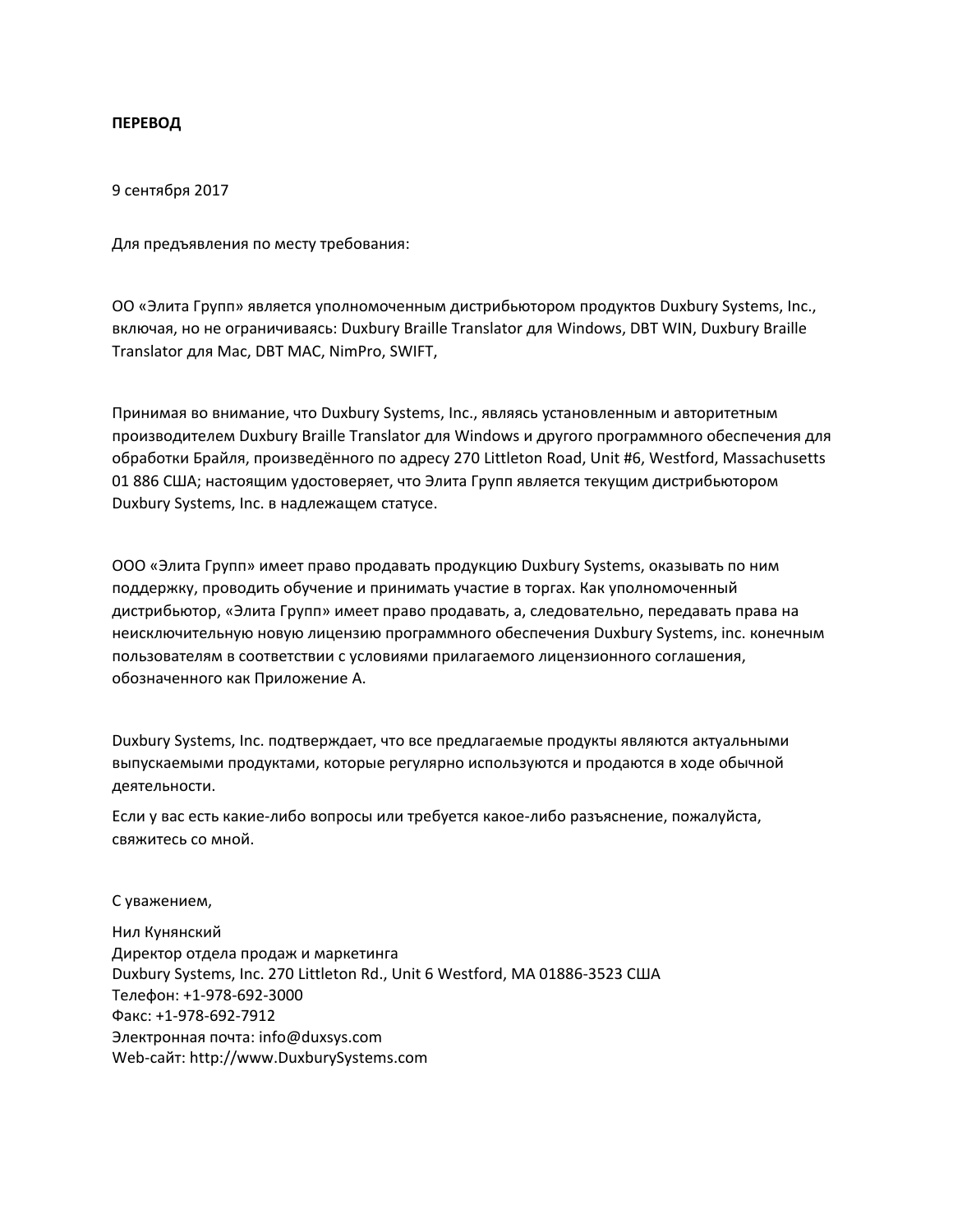### **ПЕРЕВОД**

9 сентября 2017

Для предъявления по месту требования:

ОО «Элита Групп» является уполномоченным дистрибьютором продуктов Duxbury Systems, Inc., включая, но не ограничиваясь: Duxbury Braille Translator для Windows, DBT WIN, Duxbury Braille Translator для Mac, DBT MAC, NimPro, SWIFT,

Принимая во внимание, что Duxbury Systems, Inc., являясь установленным и авторитетным производителем Duxbury Braille Translator для Windows и другого программного обеспечения для обработки Брайля, произведённого по адресу 270 Littleton Road, Unit #6, Westford, Massachusetts 01 886 США; настоящим удостоверяет, что Элита Групп является текущим дистрибьютором Duxbury Systems, Inc. в надлежащем статусе.

ООО «Элита Групп» имеет право продавать продукцию Duxbury Systems, оказывать по ним поддержку, проводить обучение и принимать участие в торгах. Как уполномоченный дистрибьютор, «Элита Групп» имеет право продавать, а, следовательно, передавать права на неисключительную новую лицензию программного обеспечения Duxbury Systems, inc. конечным пользователям в соответствии с условиями прилагаемого лицензионного соглашения, обозначенного как Приложение A.

Duxbury Systems, Inc. подтверждает, что все предлагаемые продукты являются актуальными выпускаемыми продуктами, которые регулярно используются и продаются в ходе обычной деятельности.

Если у вас есть какие-либо вопросы или требуется какое-либо разъяснение, пожалуйста, свяжитесь со мной.

С уважением,

Нил Кунянский Директор отдела продаж и маркетинга Duxbury Systems, Inc. 270 Littleton Rd., Unit 6 Westford, MA 01886-3523 США Телефон: +1-978-692-3000 Факс: +1-978-692-7912 Электронная почта: [info@duxsys.com](mailto:info@duxsys.com) Web-сайт: [http://www.DuxburySystems.com](http://www.duxburysystems.com/)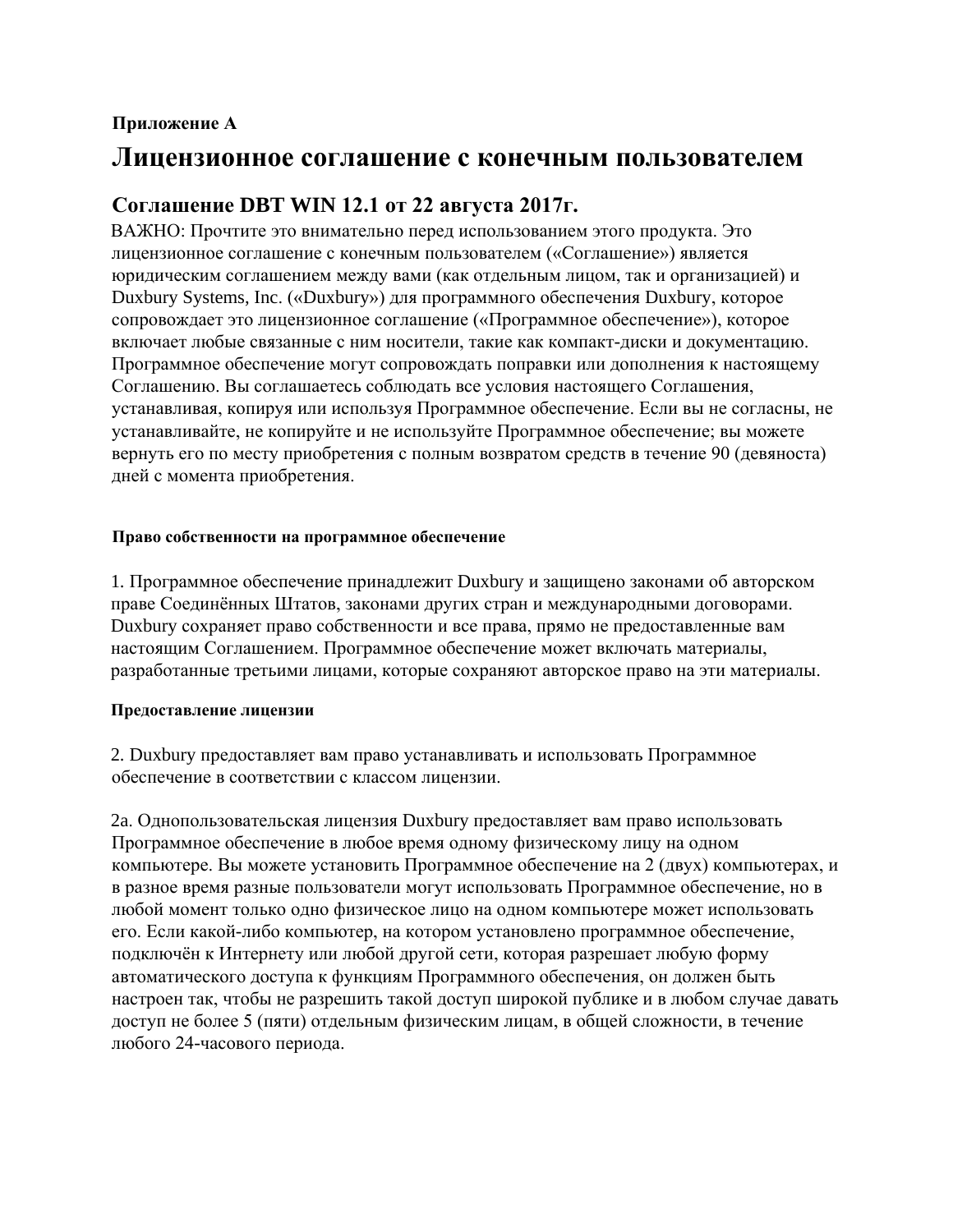# **Приложение А**

# **Лицензионное соглашение с конечным пользователем**

# **Соглашение DBT WIN 12.1 от 22 августа 2017г.**

ВАЖНО: Прочтите это внимательно перед использованием этого продукта. Это лицензионное соглашение с конечным пользователем («Соглашение») является юридическим соглашением между вами (как отдельным лицом, так и организацией) и Duxbury Systems, Inc. («Duxbury») для программного обеспечения Duxbury, которое сопровождает это лицензионное соглашение («Программное обеспечение»), которое включает любые связанные с ним носители, такие как компакт-диски и документацию. Программное обеспечение могут сопровождать поправки или дополнения к настоящему Соглашению. Вы соглашаетесь соблюдать все условия настоящего Соглашения, устанавливая, копируя или используя Программное обеспечение. Если вы не согласны, не устанавливайте, не копируйте и не используйте Программное обеспечение; вы можете вернуть его по месту приобретения с полным возвратом средств в течение 90 (девяноста) дней с момента приобретения.

## **Право собственности на программное обеспечение**

1. Программное обеспечение принадлежит Duxbury и защищено законами об авторском праве Соединённых Штатов, законами других стран и международными договорами. Duxbury сохраняет право собственности и все права, прямо не предоставленные вам настоящим Соглашением. Программное обеспечение может включать материалы, разработанные третьими лицами, которые сохраняют авторское право на эти материалы.

# **Предоставление лицензии**

2. Duxbury предоставляет вам право устанавливать и использовать Программное обеспечение в соответствии с классом лицензии.

2a. Однопользовательская лицензия Duxbury предоставляет вам право использовать Программное обеспечение в любое время одному физическому лицу на одном компьютере. Вы можете установить Программное обеспечение на 2 (двух) компьютерах, и в разное время разные пользователи могут использовать Программное обеспечение, но в любой момент только одно физическое лицо на одном компьютере может использовать его. Если какой-либо компьютер, на котором установлено программное обеспечение, подключён к Интернету или любой другой сети, которая разрешает любую форму автоматического доступа к функциям Программного обеспечения, он должен быть настроен так, чтобы не разрешить такой доступ широкой публике и в любом случае давать доступ не более 5 (пяти) отдельным физическим лицам, в общей сложности, в течение любого 24-часового периода.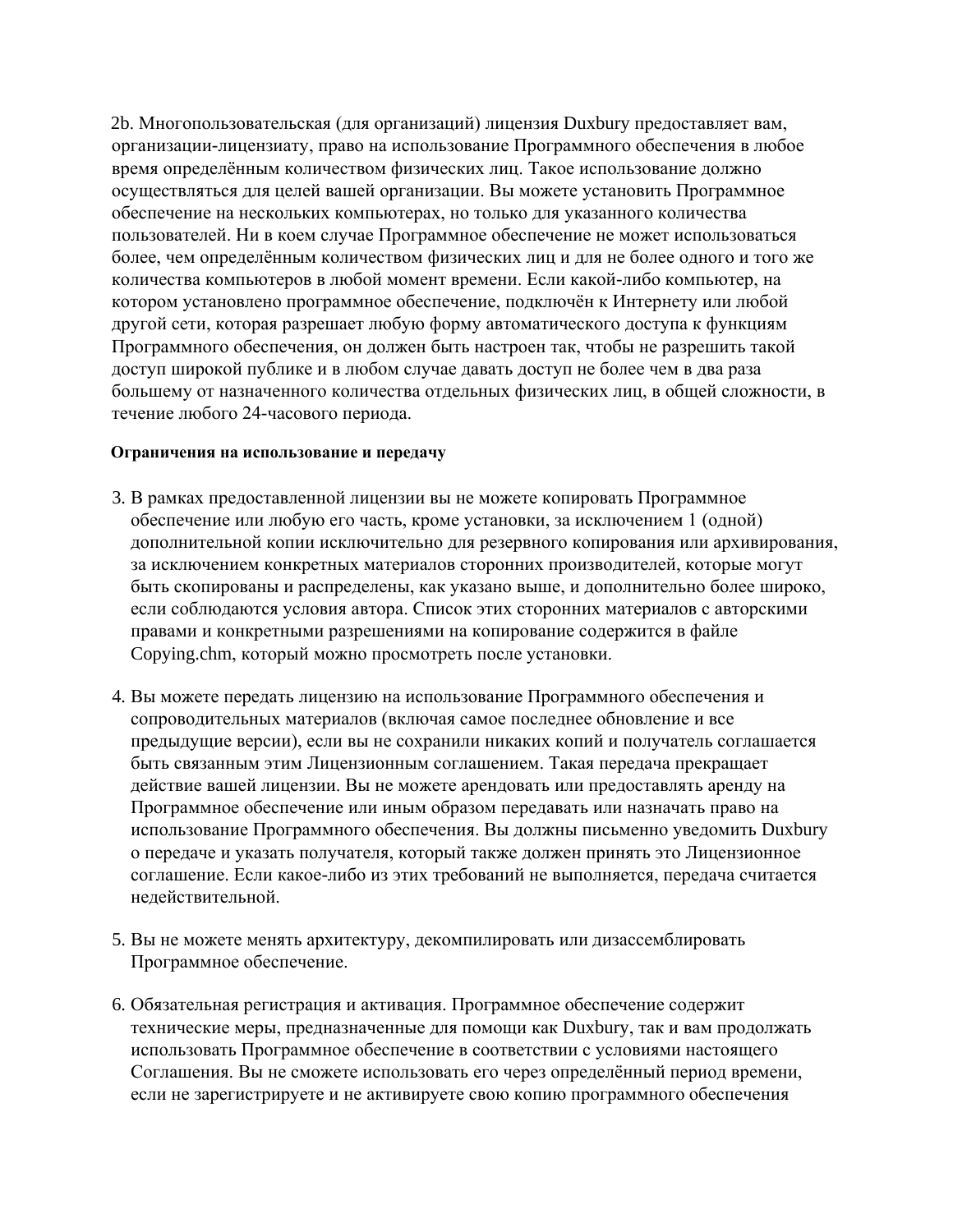2b. Многопользовательская (для организаций) лицензия Duxbury предоставляет вам, организации-лицензиату, право на использование Программного обеспечения в любое время определённым количеством физических лиц. Такое использование должно осуществляться для целей вашей организации. Вы можете установить Программное обеспечение на нескольких компьютерах, но только для указанного количества пользователей. Ни в коем случае Программное обеспечение не может использоваться более, чем определённым количеством физических лиц и для не более одного и того же количества компьютеров в любой момент времени. Если какой-либо компьютер, на котором установлено программное обеспечение, подключён к Интернету или любой другой сети, которая разрешает любую форму автоматического доступа к функциям Программного обеспечения, он должен быть настроен так, чтобы не разрешить такой доступ широкой публике и в любом случае давать доступ не более чем в два раза большему от назначенного количества отдельных физических лиц, в общей сложности, в течение любого 24-часового периода.

## **Ограничения на использование и передачу**

- 3. В рамках предоставленной лицензии вы не можете копировать Программное обеспечение или любую его часть, кроме установки, за исключением 1 (одной) дополнительной копии исключительно для резервного копирования или архивирования, за исключением конкретных материалов сторонних производителей, которые могут быть скопированы и распределены, как указано выше, и дополнительно более широко, если соблюдаются условия автора. Список этих сторонних материалов с авторскими правами и конкретными разрешениями на копирование содержится в файле Copying.chm, который можно просмотреть после установки.
- 4. Вы можете передать лицензию на использование Программного обеспечения и сопроводительных материалов (включая самое последнее обновление и все предыдущие версии), если вы не сохранили никаких копий и получатель соглашается быть связанным этим Лицензионным соглашением. Такая передача прекращает действие вашей лицензии. Вы не можете арендовать или предоставлять аренду на Программное обеспечение или иным образом передавать или назначать право на использование Программного обеспечения. Вы должны письменно уведомить Duxbury о передаче и указать получателя, который также должен принять это Лицензионное соглашение. Если какое-либо из этих требований не выполняется, передача считается недействительной.
- 5. Вы не можете менять архитектуру, декомпилировать или дизассемблировать Программное обеспечение.
- 6. Обязательная регистрация и активация. Программное обеспечение содержит технические меры, предназначенные для помощи как Duxbury, так и вам продолжать использовать Программное обеспечение в соответствии с условиями настоящего Соглашения. Вы не сможете использовать его через определённый период времени, если не зарегистрируете и не активируете свою копию программного обеспечения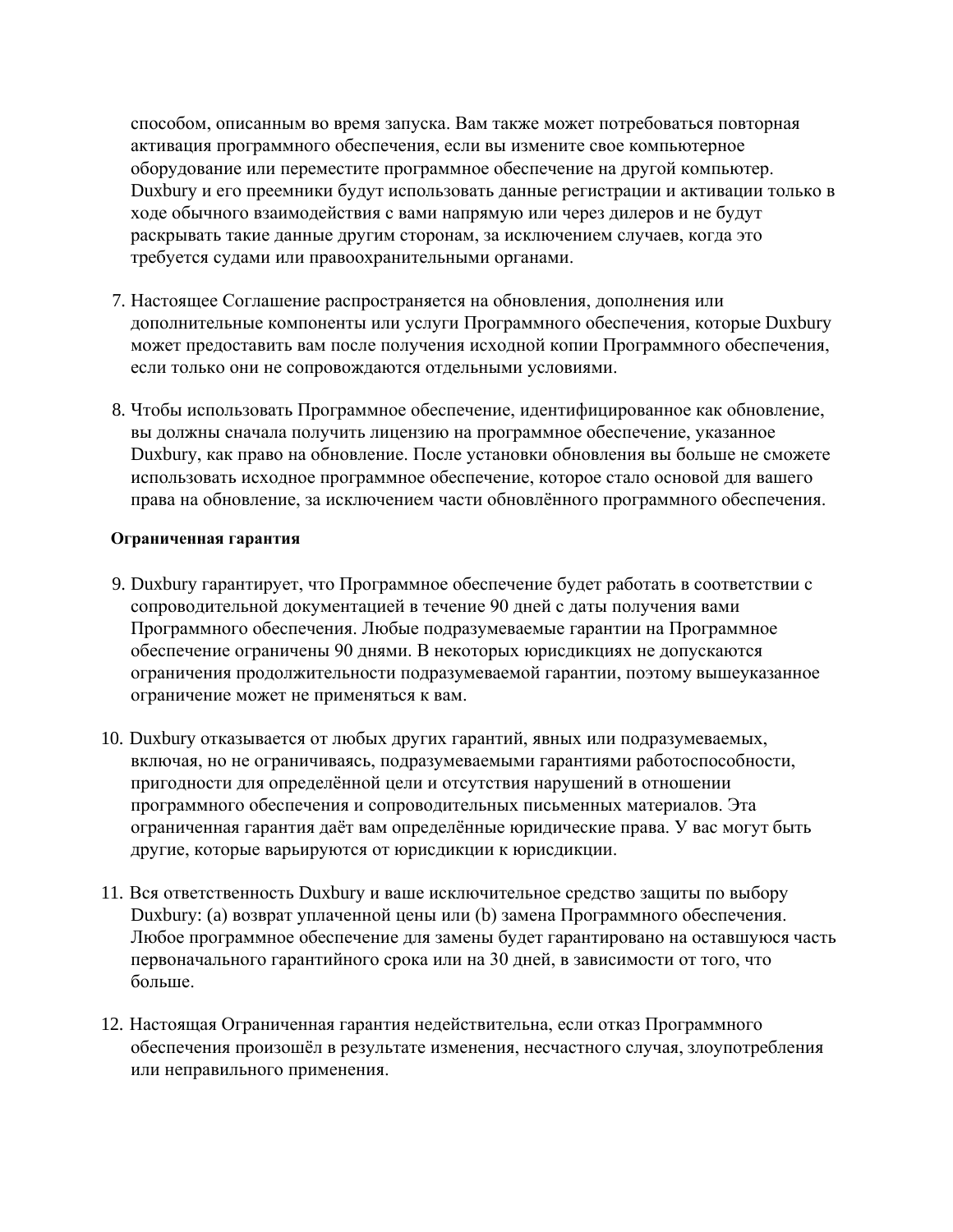способом, описанным во время запуска. Вам также может потребоваться повторная активация программного обеспечения, если вы измените свое компьютерное оборудование или переместите программное обеспечение на другой компьютер. Duxbury и его преемники будут использовать данные регистрации и активации только в ходе обычного взаимодействия с вами напрямую или через дилеров и не будут раскрывать такие данные другим сторонам, за исключением случаев, когда это требуется судами или правоохранительными органами.

- 7. Настоящее Соглашение распространяется на обновления, дополнения или дополнительные компоненты или услуги Программного обеспечения, которые Duxbury может предоставить вам после получения исходной копии Программного обеспечения, если только они не сопровождаются отдельными условиями.
- 8. Чтобы использовать Программное обеспечение, идентифицированное как обновление, вы должны сначала получить лицензию на программное обеспечение, указанное Duxbury, как право на обновление. После установки обновления вы больше не сможете использовать исходное программное обеспечение, которое стало основой для вашего права на обновление, за исключением части обновлённого программного обеспечения.

## Ограниченная гарантия

- 9. Duxbury гарантирует, что Программное обеспечение будет работать в соответствии с сопроводительной документацией в течение 90 дней с даты получения вами Программного обеспечения. Любые подразумеваемые гарантии на Программное обеспечение ограничены 90 днями. В некоторых юрисдикциях не допускаются ограничения продолжительности подразумеваемой гарантии, поэтому вышеуказанное ограничение может не применяться к вам.
- 10. Duxbury отказывается от любых других гарантий, явных или подразумеваемых, включая, но не ограничиваясь, подразумеваемыми гарантиями работоспособности, пригодности для определённой цели и отсутствия нарушений в отношении программного обеспечения и сопроводительных письменных материалов. Эта ограниченная гарантия даёт вам определённые юридические права. У вас могут быть другие, которые варьируются от юрисдикции к юрисдикции.
- 11. Вся ответственность Duxbury и ваше исключительное средство защиты по выбору Duxbury: (а) возврат уплаченной цены или (b) замена Программного обеспечения. Любое программное обеспечение для замены будет гарантировано на оставшуюся часть первоначального гарантийного срока или на 30 дней, в зависимости от того, что больше.
- 12. Настоящая Ограниченная гарантия недействительна, если отказ Программного обеспечения произошёл в результате изменения, несчастного случая, злоупотребления или неправильного применения.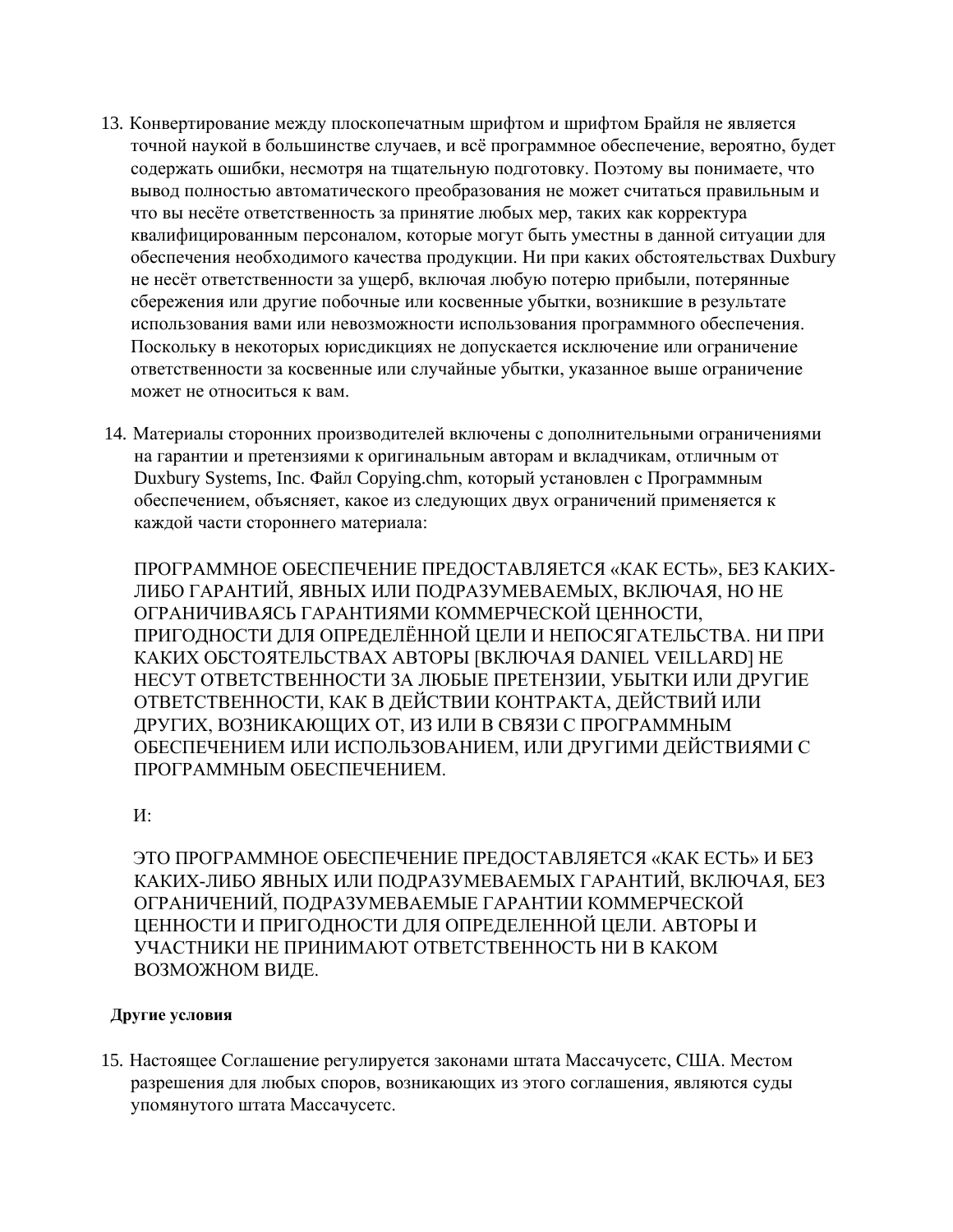- 13. Конвертирование между плоскопечатным шрифтом и шрифтом Брайля не является точной наукой в большинстве случаев, и всё программное обеспечение, вероятно, будет содержать ошибки, несмотря на тщательную подготовку. Поэтому вы понимаете, что вывод полностью автоматического преобразования не может считаться правильным и что вы несёте ответственность за принятие любых мер, таких как корректура квалифицированным персоналом, которые могут быть уместны в данной ситуации для обеспечения необходимого качества продукции. Ни при каких обстоятельствах Duxbury не несёт ответственности за ущерб, включая любую потерю прибыли, потерянные сбережения или другие побочные или косвенные убытки, возникшие в результате использования вами или невозможности использования программного обеспечения. Поскольку в некоторых юрисдикциях не допускается исключение или ограничение ответственности за косвенные или случайные убытки, указанное выше ограничение может не относиться к вам.
- 14. Материалы сторонних производителей включены с дополнительными ограничениями на гарантии и претензиями к оригинальным авторам и вкладчикам, отличным от Duxbury Systems, Inc. Файл Copying.chm, который установлен с Программным обеспечением, объясняет, какое из следующих двух ограничений применяется к каждой части стороннего материала:

ПРОГРАММНОЕ ОБЕСПЕЧЕНИЕ ПРЕДОСТАВЛЯЕТСЯ «КАК ЕСТЬ», БЕЗ КАКИХ-ЛИБО ГАРАНТИЙ, ЯВНЫХ ИЛИ ПОДРАЗУМЕВАЕМЫХ, ВКЛЮЧАЯ, НО НЕ ОГРАНИЧИВАЯСЬ ГАРАНТИЯМИ КОММЕРЧЕСКОЙ ЦЕННОСТИ, ПРИГОДНОСТИ ДЛЯ ОПРЕДЕЛЁННОЙ ЦЕЛИ И НЕПОСЯГАТЕЛЬСТВА. НИ ПРИ КАКИХ ОБСТОЯТЕЛЬСТВАХ АВТОРЫ [ВКЛЮЧАЯ DANIEL VEILLARD] HE НЕСУТ ОТВЕТСТВЕННОСТИ ЗА ЛЮБЫЕ ПРЕТЕНЗИИ, УБЫТКИ ИЛИ ДРУГИЕ ОТВЕТСТВЕННОСТИ, КАК В ДЕЙСТВИИ КОНТРАКТА, ДЕЙСТВИЙ ИЛИ ДРУГИХ, ВОЗНИКАЮЩИХ ОТ, ИЗ ИЛИ В СВЯЗИ С ПРОГРАММНЫМ ОБЕСПЕЧЕНИЕМ ИЛИ ИСПОЛЬЗОВАНИЕМ, ИЛИ ДРУГИМИ ДЕЙСТВИЯМИ С ПРОГРАММНЫМ ОБЕСПЕЧЕНИЕМ.

 $W:$ 

ЭТО ПРОГРАММНОЕ ОБЕСПЕЧЕНИЕ ПРЕДОСТАВЛЯЕТСЯ «КАК ЕСТЬ» И БЕЗ КАКИХ-ЛИБО ЯВНЫХ ИЛИ ПОДРАЗУМЕВАЕМЫХ ГАРАНТИЙ, ВКЛЮЧАЯ, БЕЗ ОГРАНИЧЕНИЙ, ПОДРАЗУМЕВАЕМЫЕ ГАРАНТИИ КОММЕРЧЕСКОЙ ЦЕННОСТИ И ПРИГОДНОСТИ ДЛЯ ОПРЕДЕЛЕННОЙ ЦЕЛИ. АВТОРЫ И УЧАСТНИКИ НЕ ПРИНИМАЮТ ОТВЕТСТВЕННОСТЬ НИ В КАКОМ ВОЗМОЖНОМ ВИДЕ.

# Другие условия

15. Настоящее Соглашение регулируется законами штата Массачусетс, США. Местом разрешения для любых споров, возникающих из этого соглашения, являются суды упомянутого штата Массачусетс.